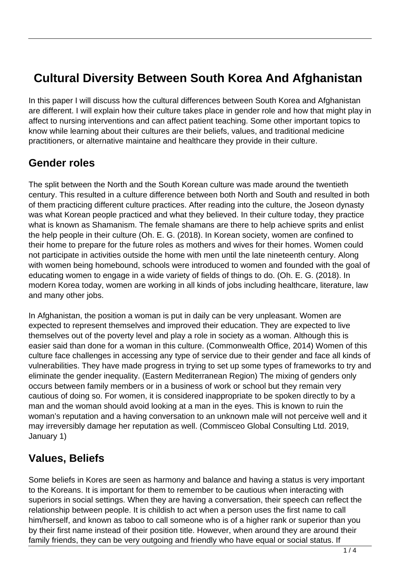# **Cultural Diversity Between South Korea And Afghanistan**

In this paper I will discuss how the cultural differences between South Korea and Afghanistan are different. I will explain how their culture takes place in gender role and how that might play in affect to nursing interventions and can affect patient teaching. Some other important topics to know while learning about their cultures are their beliefs, values, and traditional medicine practitioners, or alternative maintaine and healthcare they provide in their culture.

## **Gender roles**

The split between the North and the South Korean culture was made around the twentieth century. This resulted in a culture difference between both North and South and resulted in both of them practicing different culture practices. After reading into the culture, the Joseon dynasty was what Korean people practiced and what they believed. In their culture today, they practice what is known as Shamanism. The female shamans are there to help achieve sprits and enlist the help people in their culture (Oh. E. G. (2018). In Korean society, women are confined to their home to prepare for the future roles as mothers and wives for their homes. Women could not participate in activities outside the home with men until the late nineteenth century. Along with women being homebound, schools were introduced to women and founded with the goal of educating women to engage in a wide variety of fields of things to do. (Oh. E. G. (2018). In modern Korea today, women are working in all kinds of jobs including healthcare, literature, law and many other jobs.

In Afghanistan, the position a woman is put in daily can be very unpleasant. Women are expected to represent themselves and improved their education. They are expected to live themselves out of the poverty level and play a role in society as a woman. Although this is easier said than done for a woman in this culture. (Commonwealth Office, 2014) Women of this culture face challenges in accessing any type of service due to their gender and face all kinds of vulnerabilities. They have made progress in trying to set up some types of frameworks to try and eliminate the gender inequality. (Eastern Mediterranean Region) The mixing of genders only occurs between family members or in a business of work or school but they remain very cautious of doing so. For women, it is considered inappropriate to be spoken directly to by a man and the woman should avoid looking at a man in the eyes. This is known to ruin the woman's reputation and a having conversation to an unknown male will not perceive well and it may irreversibly damage her reputation as well. (Commisceo Global Consulting Ltd. 2019, January 1)

## **Values, Beliefs**

Some beliefs in Kores are seen as harmony and balance and having a status is very important to the Koreans. It is important for them to remember to be cautious when interacting with superiors in social settings. When they are having a conversation, their speech can reflect the relationship between people. It is childish to act when a person uses the first name to call him/herself, and known as taboo to call someone who is of a higher rank or superior than you by their first name instead of their position title. However, when around they are around their family friends, they can be very outgoing and friendly who have equal or social status. If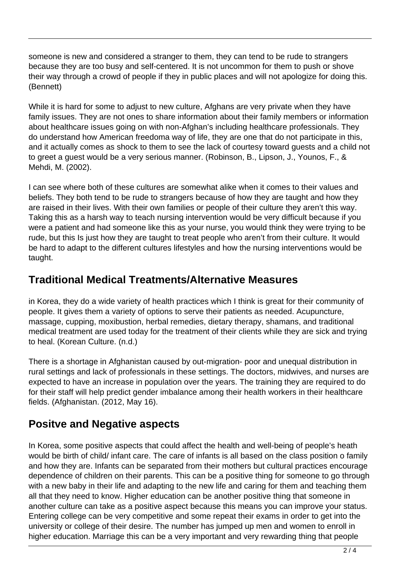someone is new and considered a stranger to them, they can tend to be rude to strangers because they are too busy and self-centered. It is not uncommon for them to push or shove their way through a crowd of people if they in public places and will not apologize for doing this. (Bennett)

While it is hard for some to adjust to new culture, Afghans are very private when they have family issues. They are not ones to share information about their family members or information about healthcare issues going on with non-Afghan's including healthcare professionals. They do understand how American freedoma way of life, they are one that do not participate in this, and it actually comes as shock to them to see the lack of courtesy toward guests and a child not to greet a guest would be a very serious manner. (Robinson, B., Lipson, J., Younos, F., & Mehdi, M. (2002).

I can see where both of these cultures are somewhat alike when it comes to their values and beliefs. They both tend to be rude to strangers because of how they are taught and how they are raised in their lives. With their own families or people of their culture they aren't this way. Taking this as a harsh way to teach nursing intervention would be very difficult because if you were a patient and had someone like this as your nurse, you would think they were trying to be rude, but this Is just how they are taught to treat people who aren't from their culture. It would be hard to adapt to the different cultures lifestyles and how the nursing interventions would be taught.

## **Traditional Medical Treatments/Alternative Measures**

in Korea, they do a wide variety of health practices which I think is great for their community of people. It gives them a variety of options to serve their patients as needed. Acupuncture, massage, cupping, moxibustion, herbal remedies, dietary therapy, shamans, and traditional medical treatment are used today for the treatment of their clients while they are sick and trying to heal. (Korean Culture. (n.d.)

There is a shortage in Afghanistan caused by out-migration- poor and unequal distribution in rural settings and lack of professionals in these settings. The doctors, midwives, and nurses are expected to have an increase in population over the years. The training they are required to do for their staff will help predict gender imbalance among their health workers in their healthcare fields. (Afghanistan. (2012, May 16).

## **Positve and Negative aspects**

In Korea, some positive aspects that could affect the health and well-being of people's heath would be birth of child/ infant care. The care of infants is all based on the class position o family and how they are. Infants can be separated from their mothers but cultural practices encourage dependence of children on their parents. This can be a positive thing for someone to go through with a new baby in their life and adapting to the new life and caring for them and teaching them all that they need to know. Higher education can be another positive thing that someone in another culture can take as a positive aspect because this means you can improve your status. Entering college can be very competitive and some repeat their exams in order to get into the university or college of their desire. The number has jumped up men and women to enroll in higher education. Marriage this can be a very important and very rewarding thing that people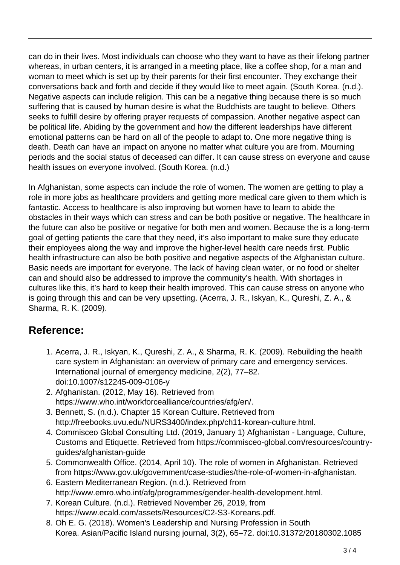can do in their lives. Most individuals can choose who they want to have as their lifelong partner whereas, in urban centers, it is arranged in a meeting place, like a coffee shop, for a man and woman to meet which is set up by their parents for their first encounter. They exchange their conversations back and forth and decide if they would like to meet again. (South Korea. (n.d.). Negative aspects can include religion. This can be a negative thing because there is so much suffering that is caused by human desire is what the Buddhists are taught to believe. Others seeks to fulfill desire by offering prayer requests of compassion. Another negative aspect can be political life. Abiding by the government and how the different leaderships have different emotional patterns can be hard on all of the people to adapt to. One more negative thing is death. Death can have an impact on anyone no matter what culture you are from. Mourning periods and the social status of deceased can differ. It can cause stress on everyone and cause health issues on everyone involved. (South Korea. (n.d.)

In Afghanistan, some aspects can include the role of women. The women are getting to play a role in more jobs as healthcare providers and getting more medical care given to them which is fantastic. Access to healthcare is also improving but women have to learn to abide the obstacles in their ways which can stress and can be both positive or negative. The healthcare in the future can also be positive or negative for both men and women. Because the is a long-term goal of getting patients the care that they need, it's also important to make sure they educate their employees along the way and improve the higher-level health care needs first. Public health infrastructure can also be both positive and negative aspects of the Afghanistan culture. Basic needs are important for everyone. The lack of having clean water, or no food or shelter can and should also be addressed to improve the community's health. With shortages in cultures like this, it's hard to keep their health improved. This can cause stress on anyone who is going through this and can be very upsetting. (Acerra, J. R., Iskyan, K., Qureshi, Z. A., & Sharma, R. K. (2009).

## **Reference:**

- 1. Acerra, J. R., Iskyan, K., Qureshi, Z. A., & Sharma, R. K. (2009). Rebuilding the health care system in Afghanistan: an overview of primary care and emergency services. International journal of emergency medicine, 2(2), 77–82. doi:10.1007/s12245-009-0106-y
- 2. Afghanistan. (2012, May 16). Retrieved from https://www.who.int/workforcealliance/countries/afg/en/.
- 3. Bennett, S. (n.d.). Chapter 15 Korean Culture. Retrieved from http://freebooks.uvu.edu/NURS3400/index.php/ch11-korean-culture.html.
- 4. Commisceo Global Consulting Ltd. (2019, January 1) Afghanistan Language, Culture, Customs and Etiquette. Retrieved from https://commisceo-global.com/resources/countryguides/afghanistan-guide
- 5. Commonwealth Office. (2014, April 10). The role of women in Afghanistan. Retrieved from https://www.gov.uk/government/case-studies/the-role-of-women-in-afghanistan.
- 6. Eastern Mediterranean Region. (n.d.). Retrieved from http://www.emro.who.int/afg/programmes/gender-health-development.html.
- 7. Korean Culture. (n.d.). Retrieved November 26, 2019, from https://www.ecald.com/assets/Resources/C2-S3-Koreans.pdf.
- 8. Oh E. G. (2018). Women's Leadership and Nursing Profession in South Korea. Asian/Pacific Island nursing journal, 3(2), 65–72. doi:10.31372/20180302.1085